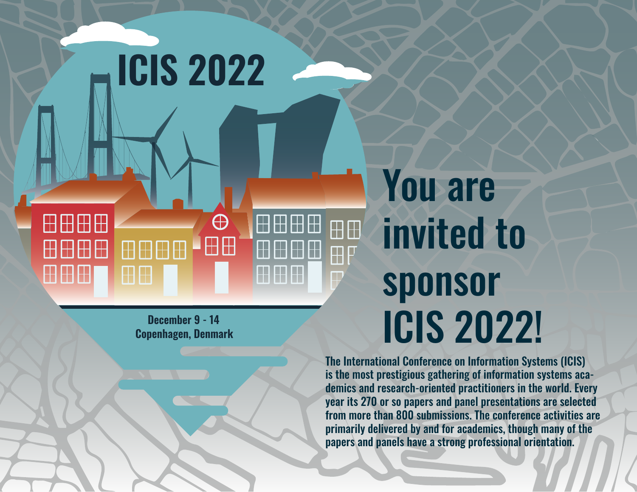#### You are 田田田田  $\bigoplus$ invited to 田田 ⊞⊞  $\boxplus$ HHH HH sponsor ICIS 2022!**December 9 - 14 Copenhagen, Denmark**

**ICIS 2022**

The International Conference on Information Systems (ICIS) is the most prestigious gathering of information systems academics and research-oriented practitioners in the world. Every year its 270 or so papers and panel presentations are selected from more than 800 submissions. The conference activities are primarily delivered by and for academics, though many of the papers and panels have a strong professional orientation.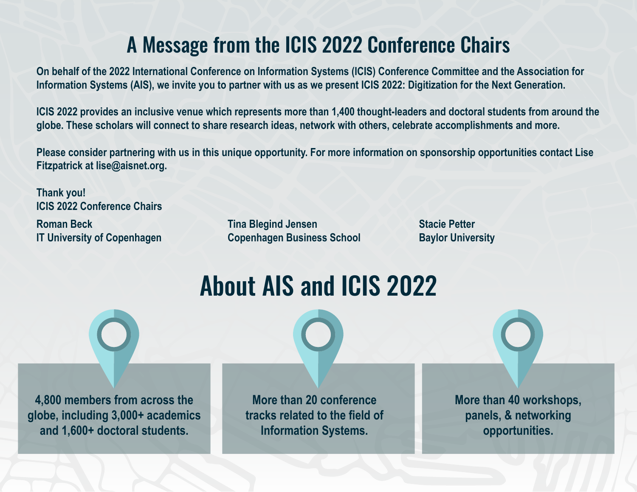### A Message from the ICIS 2022 Conference Chairs

**On behalf of the 2022 International Conference on Information Systems (ICIS) Conference Committee and the Association for Information Systems (AIS), we invite you to partner with us as we present ICIS 2022: Digitization for the Next Generation.**

**ICIS 2022 provides an inclusive venue which represents more than 1,400 thought-leaders and doctoral students from around the globe. These scholars will connect to share research ideas, network with others, celebrate accomplishments and more.**

**Please consider partnering with us in this unique opportunity. For more information on sponsorship opportunities contact Lise Fitzpatrick at lise@aisnet.org.**

**Thank you! ICIS 2022 Conference Chairs Roman Beck IT University of Copenhagen**

**Tina Blegind Jensen Copenhagen Business School** **Stacie Petter Baylor University**



**4,800 members from across the globe, including 3,000+ academics and 1,600+ doctoral students.**

**More than 20 conference tracks related to the field of Information Systems.**

**More than 40 workshops, panels, & networking opportunities.**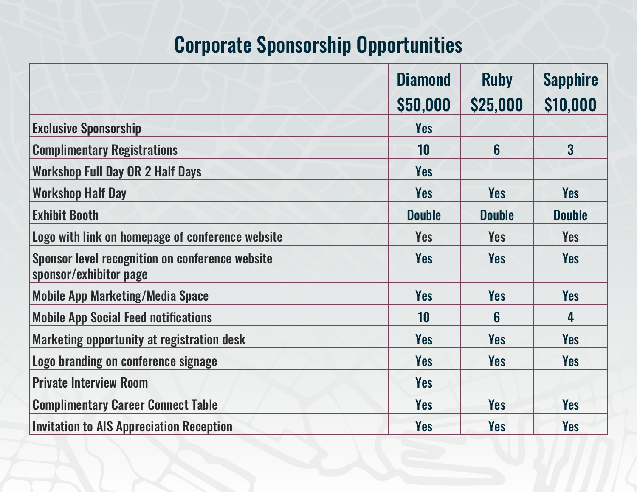## Corporate Sponsorship Opportunities

|                                                                                  | <b>Diamond</b> | <b>Ruby</b>   | <b>Sapphire</b> |
|----------------------------------------------------------------------------------|----------------|---------------|-----------------|
|                                                                                  | \$50,000       | \$25,000      | \$10,000        |
| <b>Exclusive Sponsorship</b>                                                     | <b>Yes</b>     |               |                 |
| <b>Complimentary Registrations</b>                                               | 10             | 6             | 3 <sup>1</sup>  |
| <b>Workshop Full Day OR 2 Half Days</b>                                          | <b>Yes</b>     |               |                 |
| <b>Workshop Half Day</b>                                                         | Yes            | <b>Yes</b>    | <b>Yes</b>      |
| <b>Exhibit Booth</b>                                                             | <b>Double</b>  | <b>Double</b> | <b>Double</b>   |
| Logo with link on homepage of conference website                                 | <b>Yes</b>     | <b>Yes</b>    | <b>Yes</b>      |
| <b>Sponsor level recognition on conference website</b><br>sponsor/exhibitor page | <b>Yes</b>     | <b>Yes</b>    | <b>Yes</b>      |
| <b>Mobile App Marketing/Media Space</b>                                          | <b>Yes</b>     | <b>Yes</b>    | <b>Yes</b>      |
| <b>Mobile App Social Feed notifications</b>                                      | 10             | 6             | 4               |
| Marketing opportunity at registration desk                                       | <b>Yes</b>     | <b>Yes</b>    | <b>Yes</b>      |
| Logo branding on conference signage                                              | Yes            | <b>Yes</b>    | <b>Yes</b>      |
| <b>Private Interview Room</b>                                                    | <b>Yes</b>     |               |                 |
| <b>Complimentary Career Connect Table</b>                                        | <b>Yes</b>     | <b>Yes</b>    | <b>Yes</b>      |
| <b>Invitation to AIS Appreciation Reception</b>                                  | <b>Yes</b>     | Yes           | <b>Yes</b>      |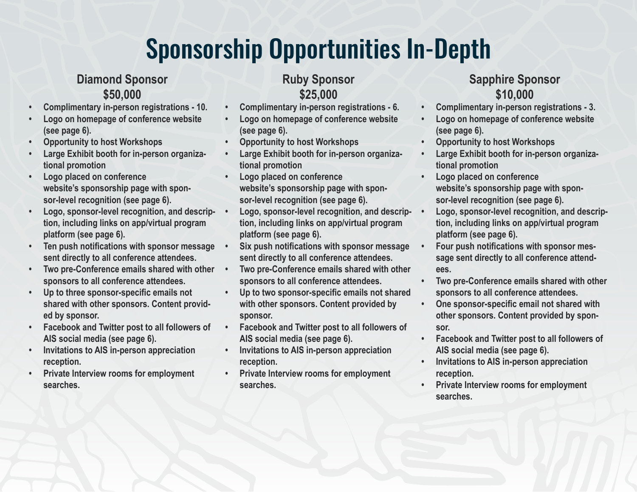## Sponsorship Opportunities In-Depth

#### **Diamond Sponsor \$50,000**

- **• Complimentary in-person registrations 10.**
- **• Logo on homepage of conference website (see page 6).**
- **• Opportunity to host Workshops**
- **• Large Exhibit booth for in-person organizational promotion**
- **• Logo placed on conference website's sponsorship page with sponsor-level recognition (see page 6).**
- **• Logo, sponsor-level recognition, and description, including links on app/virtual program platform (see page 6).**
- **• Ten push notifications with sponsor message sent directly to all conference attendees.**
- **• Two pre-Conference emails shared with other sponsors to all conference attendees.**
- **• Up to three sponsor-specific emails not shared with other sponsors. Content provided by sponsor.**
- **• Facebook and Twitter post to all followers of AIS social media (see page 6).**
- **• Invitations to AIS in-person appreciation reception.**
- **• Private Interview rooms for employment searches.**

#### **Ruby Sponsor \$25,000**

- **• Complimentary in-person registrations 6.**
- **• Logo on homepage of conference website (see page 6).**
- **• Opportunity to host Workshops**
- **• Large Exhibit booth for in-person organizational promotion**
- **• Logo placed on conference website's sponsorship page with sponsor-level recognition (see page 6).**
- **• Logo, sponsor-level recognition, and description, including links on app/virtual program platform (see page 6).**
- **• Six push notifications with sponsor message sent directly to all conference attendees.**
	- **• Two pre-Conference emails shared with other sponsors to all conference attendees.**
- **• Up to two sponsor-specific emails not shared with other sponsors. Content provided by sponsor.**
- **• Facebook and Twitter post to all followers of AIS social media (see page 6).**
- **• Invitations to AIS in-person appreciation reception.**
- **• Private Interview rooms for employment searches.**

#### **Sapphire Sponsor \$10,000**

- **• Complimentary in-person registrations 3.**
- **• Logo on homepage of conference website (see page 6).**
- **• Opportunity to host Workshops**
- **• Large Exhibit booth for in-person organizational promotion**
- **• Logo placed on conference website's sponsorship page with sponsor-level recognition (see page 6).**
- **• Logo, sponsor-level recognition, and description, including links on app/virtual program platform (see page 6).**
- **• Four push notifications with sponsor message sent directly to all conference attendees.**
- **• Two pre-Conference emails shared with other sponsors to all conference attendees.**
- **• One sponsor-specific email not shared with other sponsors. Content provided by sponsor.**
- **• Facebook and Twitter post to all followers of AIS social media (see page 6).**
- **• Invitations to AIS in-person appreciation reception.**
- **• Private Interview rooms for employment searches.**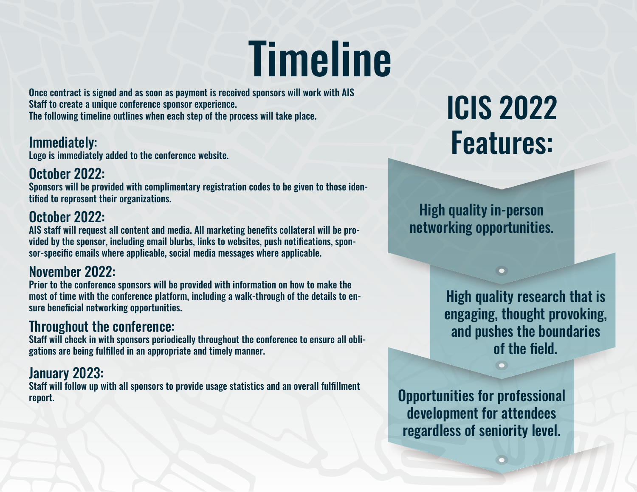# **Timeline**

Once contract is signed and as soon as payment is received sponsors will work with AIS Staff to create a unique conference sponsor experience. The following timeline outlines when each step of the process will take place.

#### Immediately:

Logo is immediately added to the conference website.

#### October 2022:

Sponsors will be provided with complimentary registration codes to be given to those identified to represent their organizations.

#### October 2022:

AIS staff will request all content and media. All marketing benefits collateral will be provided by the sponsor, including email blurbs, links to websites, push notifications, sponsor-specific emails where applicable, social media messages where applicable.

#### November 2022:

Prior to the conference sponsors will be provided with information on how to make the most of time with the conference platform, including a walk-through of the details to ensure beneficial networking opportunities.

#### Throughout the conference:

Staff will check in with sponsors periodically throughout the conference to ensure all obligations are being fulfilled in an appropriate and timely manner.

#### January 2023:

Staff will follow up with all sponsors to provide usage statistics and an overall fulfillment report.

# ICIS 2022 Features:

High quality in-person networking opportunities.

> High quality research that is engaging, thought provoking, and pushes the boundaries of the field.

Opportunities for professional development for attendees regardless of seniority level.